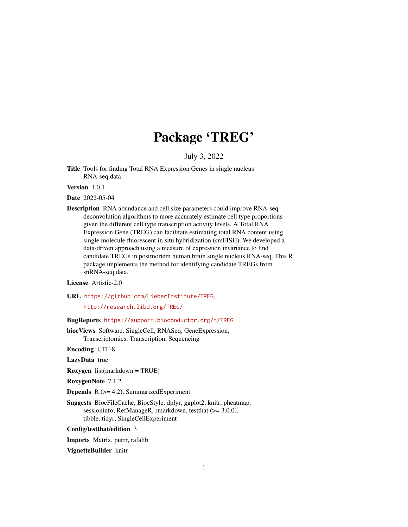# Package 'TREG'

July 3, 2022

<span id="page-0-0"></span>Title Tools for finding Total RNA Expression Genes in single nucleus RNA-seq data

Version 1.0.1

Date 2022-05-04

Description RNA abundance and cell size parameters could improve RNA-seq deconvolution algorithms to more accurately estimate cell type proportions given the different cell type transcription activity levels. A Total RNA Expression Gene (TREG) can facilitate estimating total RNA content using single molecule fluorescent in situ hybridization (smFISH). We developed a data-driven approach using a measure of expression invariance to find candidate TREGs in postmortem human brain single nucleus RNA-seq. This R package implements the method for identifying candidate TREGs from snRNA-seq data.

License Artistic-2.0

URL <https://github.com/LieberInstitute/TREG>,

<http://research.libd.org/TREG/>

BugReports <https://support.bioconductor.org/t/TREG>

biocViews Software, SingleCell, RNASeq, GeneExpression, Transcriptomics, Transcription, Sequencing

Encoding UTF-8

LazyData true

Roxygen list(markdown = TRUE)

RoxygenNote 7.1.2

**Depends**  $R$  ( $>= 4.2$ ), SummarizedExperiment

Suggests BiocFileCache, BiocStyle, dplyr, ggplot2, knitr, pheatmap, sessioninfo, RefManageR, rmarkdown, testthat (>= 3.0.0), tibble, tidyr, SingleCellExperiment

Config/testthat/edition 3

Imports Matrix, purrr, rafalib

VignetteBuilder knitr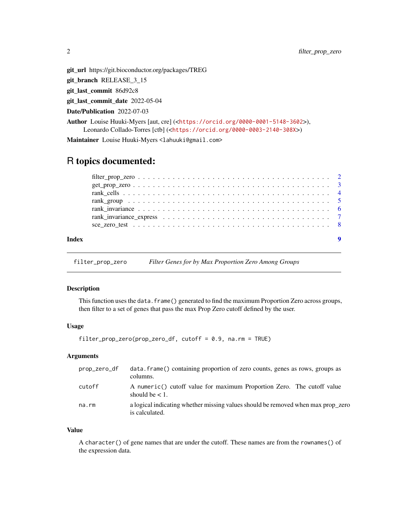<span id="page-1-0"></span>git\_url https://git.bioconductor.org/packages/TREG

git\_branch RELEASE\_3\_15

git\_last\_commit 86d92c8

git\_last\_commit\_date 2022-05-04

Date/Publication 2022-07-03

Author Louise Huuki-Myers [aut, cre] (<<https://orcid.org/0000-0001-5148-3602>>), Leonardo Collado-Torres [ctb] (<<https://orcid.org/0000-0003-2140-308X>>)

Maintainer Louise Huuki-Myers <lahuuki@gmail.com>

# R topics documented:

| Index |  |
|-------|--|
|       |  |
|       |  |
|       |  |
|       |  |
|       |  |
|       |  |
|       |  |

<span id="page-1-1"></span>filter\_prop\_zero *Filter Genes for by Max Proportion Zero Among Groups*

# Description

This function uses the data.frame() generated to find the maximum Proportion Zero across groups, then filter to a set of genes that pass the max Prop Zero cutoff defined by the user.

# Usage

```
filter_prop_zero(prop_zero_df, cutoff = 0.9, na.rm = TRUE)
```
# Arguments

| prop_zero_df | data frame () containing proportion of zero counts, genes as rows, groups as<br>columns.           |
|--------------|----------------------------------------------------------------------------------------------------|
| cutoff       | A numeric() cutoff value for maximum Proportion Zero. The cutoff value<br>should be $< 1$ .        |
| na.rm        | a logical indicating whether missing values should be removed when max prop_zero<br>is calculated. |

#### Value

A character() of gene names that are under the cutoff. These names are from the rownames() of the expression data.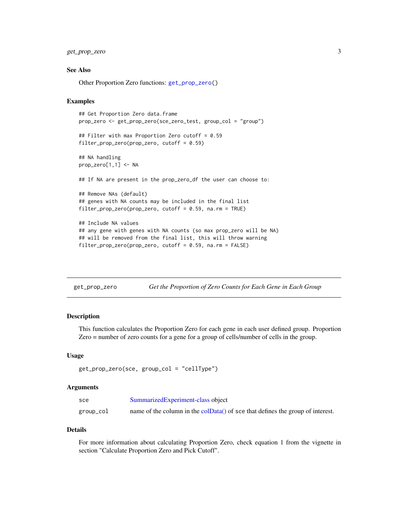<span id="page-2-0"></span>get\_prop\_zero 3

#### See Also

Other Proportion Zero functions: [get\\_prop\\_zero\(](#page-2-1))

#### Examples

```
## Get Proportion Zero data.frame
prop_zero <- get_prop_zero(sce_zero_test, group_col = "group")
## Filter with max Proportion Zero cutoff = 0.59
filter_prop_zero(prop_zero, cutoff = 0.59)
## NA handling
prop_zero[1,1] <- NA
## If NA are present in the prop_zero_df the user can choose to:
## Remove NAs (default)
## genes with NA counts may be included in the final list
filter_prop_zero(prop_zero, cutoff = 0.59, na.rm = TRUE)
## Include NA values
## any gene with genes with NA counts (so max prop_zero will be NA)
## will be removed from the final list, this will throw warning
filter_prop_zero(prop_zero, cutoff = 0.59, na.rm = FALSE)
```
<span id="page-2-1"></span>

| get_prop_zero |  | Get the Proportion of Zero Counts for Each Gene in Each Group |
|---------------|--|---------------------------------------------------------------|
|---------------|--|---------------------------------------------------------------|

#### Description

This function calculates the Proportion Zero for each gene in each user defined group. Proportion Zero = number of zero counts for a gene for a group of cells/number of cells in the group.

### Usage

```
get_prop_zero(sce, group_col = "cellType")
```
#### Arguments

| sce       | SummarizedExperiment-class object                                              |
|-----------|--------------------------------------------------------------------------------|
| group_col | name of the column in the colData() of sce that defines the group of interest. |

#### Details

For more information about calculating Proportion Zero, check equation 1 from the vignette in section "Calculate Proportion Zero and Pick Cutoff".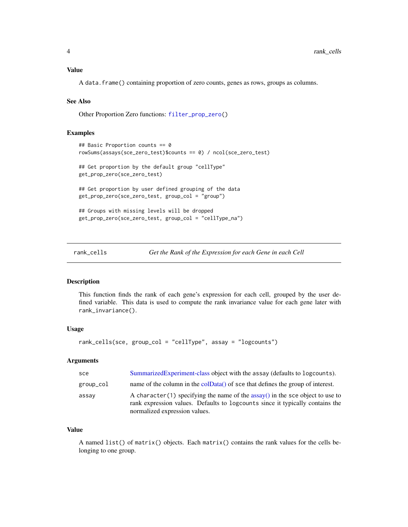# <span id="page-3-0"></span>Value

A data.frame() containing proportion of zero counts, genes as rows, groups as columns.

#### See Also

Other Proportion Zero functions: [filter\\_prop\\_zero\(](#page-1-1))

# Examples

```
## Basic Proportion counts == 0
rowSums(assays(sce_zero_test)$counts == 0) / ncol(sce_zero_test)
## Get proportion by the default group "cellType"
get_prop_zero(sce_zero_test)
## Get proportion by user defined grouping of the data
get_prop_zero(sce_zero_test, group_col = "group")
## Groups with missing levels will be dropped
get_prop_zero(sce_zero_test, group_col = "cellType_na")
```
rank\_cells *Get the Rank of the Expression for each Gene in each Cell*

# Description

This function finds the rank of each gene's expression for each cell, grouped by the user defined variable. This data is used to compute the rank invariance value for each gene later with rank\_invariance().

# Usage

```
rank_cells(sce, group_col = "cellType", assay = "logcounts")
```
# Arguments

| sce       | Summarized Experiment-class object with the assay (defaults to logcounts).                                                                                                                              |
|-----------|---------------------------------------------------------------------------------------------------------------------------------------------------------------------------------------------------------|
| group_col | name of the column in the $\text{colData}()$ of sce that defines the group of interest.                                                                                                                 |
| assay     | A character (1) specifying the name of the assay $\theta$ in the sce object to use to<br>rank expression values. Defaults to logcounts since it typically contains the<br>normalized expression values. |

#### Value

A named list() of matrix() objects. Each matrix() contains the rank values for the cells belonging to one group.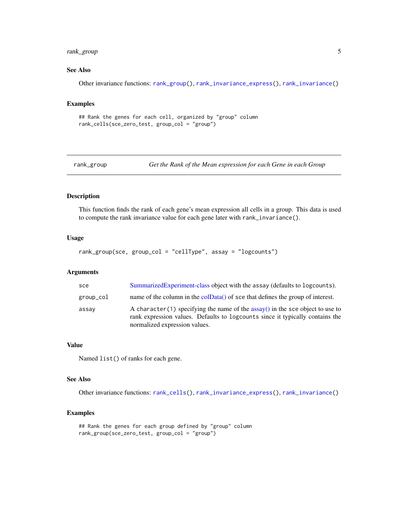# <span id="page-4-0"></span>rank\_group 5

# See Also

Other invariance functions: [rank\\_group\(](#page-4-1)), [rank\\_invariance\\_express\(](#page-6-1)), [rank\\_invariance\(](#page-5-1))

#### Examples

```
## Rank the genes for each cell, organized by "group" column
rank_cells(sce_zero_test, group_col = "group")
```
<span id="page-4-1"></span>rank\_group *Get the Rank of the Mean expression for each Gene in each Group*

#### Description

This function finds the rank of each gene's mean expression all cells in a group. This data is used to compute the rank invariance value for each gene later with rank\_invariance().

#### Usage

```
rank_group(sce, group_col = "cellType", assay = "logcounts")
```
#### Arguments

| sce       | Summarized Experiment-class object with the assay (defaults to logcounts).                                                                                                                              |
|-----------|---------------------------------------------------------------------------------------------------------------------------------------------------------------------------------------------------------|
| group_col | name of the column in the colData() of sce that defines the group of interest.                                                                                                                          |
| assay     | A character (1) specifying the name of the assay $\theta$ in the sce object to use to<br>rank expression values. Defaults to logcounts since it typically contains the<br>normalized expression values. |

#### Value

Named list() of ranks for each gene.

#### See Also

Other invariance functions: [rank\\_cells\(](#page-3-1)), [rank\\_invariance\\_express\(](#page-6-1)), [rank\\_invariance\(](#page-5-1))

### Examples

```
## Rank the genes for each group defined by "group" column
rank_group(sce_zero_test, group_col = "group")
```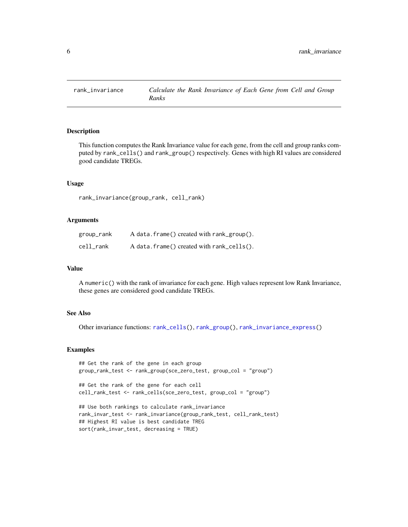<span id="page-5-1"></span><span id="page-5-0"></span>

# Description

This function computes the Rank Invariance value for each gene, from the cell and group ranks computed by rank\_cells() and rank\_group() respectively. Genes with high RI values are considered good candidate TREGs.

#### Usage

rank\_invariance(group\_rank, cell\_rank)

# Arguments

| group_rank | A data.frame() created with rank_group().    |
|------------|----------------------------------------------|
| cell rank  | $A$ data. frame() created with rank_cells(). |

#### Value

A numeric() with the rank of invariance for each gene. High values represent low Rank Invariance, these genes are considered good candidate TREGs.

# See Also

Other invariance functions: [rank\\_cells\(](#page-3-1)), [rank\\_group\(](#page-4-1)), [rank\\_invariance\\_express\(](#page-6-1))

#### Examples

```
## Get the rank of the gene in each group
group_rank_test <- rank_group(sce_zero_test, group_col = "group")
## Get the rank of the gene for each cell
cell_rank_test <- rank_cells(sce_zero_test, group_col = "group")
## Use both rankings to calculate rank_invariance
rank_invar_test <- rank_invariance(group_rank_test, cell_rank_test)
## Highest RI value is best candidate TREG
sort(rank_invar_test, decreasing = TRUE)
```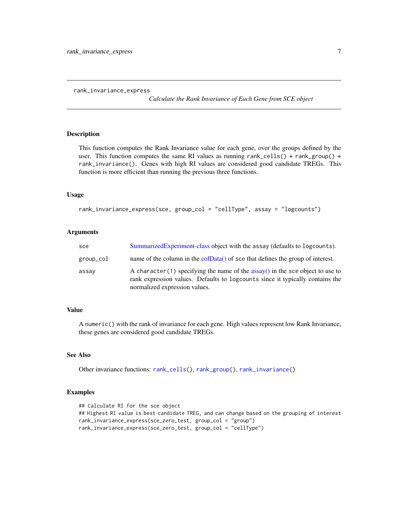<span id="page-6-1"></span><span id="page-6-0"></span>rank\_invariance\_express

*Calculate the Rank Invariance of Each Gene from SCE object*

#### Description

This function computes the Rank Invariance value for each gene, over the groups defined by the user. This function computes the same RI values as running rank\_cells() + rank\_group() + rank\_invariance(). Genes with high RI values are considered good candidate TREGs. This function is more efficient than running the previous three functions.

#### Usage

```
rank_invariance_express(sce, group_col = "cellType", assay = "logcounts")
```
#### Arguments

| sce       | Summarized Experiment-class object with the assay (defaults to log counts).                                                                                                                       |
|-----------|---------------------------------------------------------------------------------------------------------------------------------------------------------------------------------------------------|
| group_col | name of the column in the col $Data()$ of sce that defines the group of interest.                                                                                                                 |
| assay     | A character (1) specifying the name of the assay () in the sce object to use to<br>rank expression values. Defaults to logcounts since it typically contains the<br>normalized expression values. |

# Value

A numeric() with the rank of invariance for each gene. High values represent low Rank Invariance, these genes are considered good candidate TREGs.

### See Also

Other invariance functions: [rank\\_cells\(](#page-3-1)), [rank\\_group\(](#page-4-1)), [rank\\_invariance\(](#page-5-1))

# Examples

```
## Calculate RI for the sce object
## Highest RI value is best candidate TREG, and can change based on the grouping of interest
rank_invariance_express(sce_zero_test, group_col = "group")
rank_invariance_express(sce_zero_test, group_col = "cellType")
```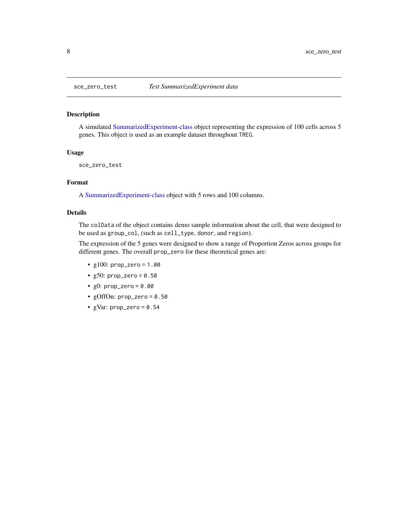## Description

A simulated [SummarizedExperiment-class](#page-0-0) object representing the expression of 100 cells across 5 genes. This object is used as an example dataset throughout TREG.

# Usage

sce\_zero\_test

# Format

A [SummarizedExperiment-class](#page-0-0) object with 5 rows and 100 columns.

### Details

The colData of the object contains demo sample information about the cell, that were designed to be used as group\_col, (such as cell\_type, donor, and region).

The expression of the 5 genes were designed to show a range of Proportion Zeros across groups for different genes. The overall prop\_zero for these theoretical genes are:

- $g100:$  prop\_zero = 1.00
- $g50: prop\_zero = 0.50$
- $g0: prop\_zero = 0.00$
- gOffOn: prop\_zero = 0.50
- gVar:  $prop\_zero = 0.54$